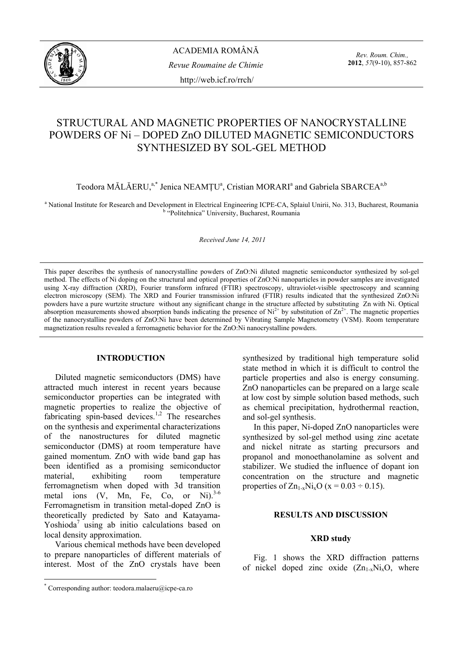

*Rev. Roum. Chim.,*  **2012**, *57*(9-10), 857-862

# STRUCTURAL AND MAGNETIC PROPERTIES OF NANOCRYSTALLINE POWDERS OF Ni – DOPED ZnO DILUTED MAGNETIC SEMICONDUCTORS SYNTHESIZED BY SOL-GEL METHOD

Teodora MĂLĂERU,<sup>a,\*</sup> Jenica NEAMȚU<sup>a</sup>, Cristian MORARI<sup>a</sup> and Gabriela SBARCEA<sup>a,b</sup>

<sup>a</sup> National Institute for Research and Development in Electrical Engineering ICPE-CA, Splaiul Unirii, No. 313, Bucharest, Roumania <sup>b</sup> "Politehnica" University, Bucharest, Roumania

*Received June 14, 2011* 

This paper describes the synthesis of nanocrystalline powders of ZnO:Ni diluted magnetic semiconductor synthesized by sol-gel method. The effects of Ni doping on the structural and optical properties of ZnO:Ni nanoparticles in powder samples are investigated using X-ray diffraction (XRD), Fourier transform infrared (FTIR) spectroscopy, ultraviolet-visible spectroscopy and scanning electron microscopy (SEM). The XRD and Fourier transmission infrared (FTIR) results indicated that the synthesized ZnO:Ni powders have a pure wurtzite structure without any significant change in the structure affected by substituting Zn with Ni. Optical absorption measurements showed absorption bands indicating the presence of  $Ni^{2+}$  by substitution of  $Zn^{2+}$ . The magnetic properties of the nanocrystalline powders of ZnO:Ni have been determined by Vibrating Sample Magnetometry (VSM). Room temperature magnetization results revealed a ferromagnetic behavior for the ZnO:Ni nanocrystalline powders.

### **INTRODUCTION\***

Diluted magnetic semiconductors (DMS) have attracted much interest in recent years because semiconductor properties can be integrated with magnetic properties to realize the objective of fabricating spin-based devices.<sup>1,2</sup> The researches on the synthesis and experimental characterizations of the nanostructures for diluted magnetic semiconductor (DMS) at room temperature have gained momentum. ZnO with wide band gap has been identified as a promising semiconductor material, exhibiting room temperature ferromagnetism when doped with 3d transition metal ions  $(V, Mn, Fe, Co, or Ni).<sup>3-6</sup>$ Ferromagnetism in transition metal-doped ZnO is theoretically predicted by Sato and Katayama-Yoshioda<sup>7</sup> using ab initio calculations based on local density approximation.

 Various chemical methods have been developed to prepare nanoparticles of different materials of interest. Most of the ZnO crystals have been

i<br>S

synthesized by traditional high temperature solid state method in which it is difficult to control the particle properties and also is energy consuming. ZnO nanoparticles can be prepared on a large scale at low cost by simple solution based methods, such as chemical precipitation, hydrothermal reaction, and sol-gel synthesis.

In this paper, Ni-doped ZnO nanoparticles were synthesized by sol-gel method using zinc acetate and nickel nitrate as starting precursors and propanol and monoethanolamine as solvent and stabilizer. We studied the influence of dopant ion concentration on the structure and magnetic properties of  $Zn_{1-x}Ni_xO (x = 0.03 \div 0.15)$ .

# **RESULTS AND DISCUSSION**

#### **XRD study**

 Fig. 1 shows the XRD diffraction patterns of nickel doped zinc oxide  $(Zn_{1-x}Ni_xO,$  where

<sup>\*</sup> Corresponding author: teodora.malaeru@icpe-ca.ro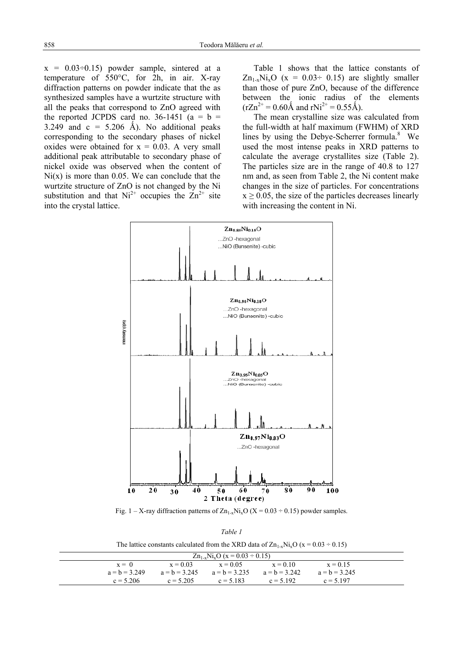$x = 0.03 \div 0.15$  powder sample, sintered at a temperature of 550°C, for 2h, in air. X-ray diffraction patterns on powder indicate that the as synthesized samples have a wurtzite structure with all the peaks that correspond to ZnO agreed with the reported JCPDS card no.  $36-1451$  (a = b = 3.249 and  $c = 5.206$  Å). No additional peaks corresponding to the secondary phases of nickel oxides were obtained for  $x = 0.03$ . A very small additional peak attributable to secondary phase of nickel oxide was observed when the content of  $Ni(x)$  is more than 0.05. We can conclude that the wurtzite structure of ZnO is not changed by the Ni substitution and that  $Ni^{2+}$  occupies the  $Zn^{2+}$  site into the crystal lattice.

Table 1 shows that the lattice constants of  $Zn_{1-x}Ni_xO$  (x = 0.03÷ 0.15) are slightly smaller than those of pure ZnO, because of the difference between the ionic radius of the elements  $(rZn^{2+} = 0.60\text{\AA}$  and  $rNi^{2+} = 0.55\text{\AA}$ ).

The mean crystalline size was calculated from the full-width at half maximum (FWHM) of XRD lines by using the Debye-Scherrer formula. $8$  We used the most intense peaks in XRD patterns to calculate the average crystallites size (Table 2). The particles size are in the range of 40.8 to 127 nm and, as seen from Table 2, the Ni content make changes in the size of particles. For concentrations  $x \ge 0.05$ , the size of the particles decreases linearly with increasing the content in Ni.



Fig. 1 – X-ray diffraction patterns of  $Zn_{1-x}Ni_xO(X = 0.03 \div 0.15)$  powder samples.

| I<br>I |  |  |  |
|--------|--|--|--|
|--------|--|--|--|

The lattice constants calculated from the XRD data of  $Zn_{1-x}Ni_xO (x = 0.03 \div 0.15)$ 

| $\text{Zn}_{1-x}\text{Ni}_x\text{O}$ (x = 0.03 ÷ 0.15) |                 |             |                                                 |            |                 |  |  |
|--------------------------------------------------------|-----------------|-------------|-------------------------------------------------|------------|-----------------|--|--|
|                                                        | $x = 0$         | $x = 0.03$  | $x = 0.05$                                      | $x = 0.10$ | $x = 0.15$      |  |  |
|                                                        | $a = h = 3,249$ |             | $a = b = 3.245$ $a = b = 3.235$ $a = b = 3.242$ |            | $a = b = 3.245$ |  |  |
|                                                        | $c = 5.206$     | $c = 5.205$ | $c = 5.183$                                     | $c = 5192$ | $c = 5197$      |  |  |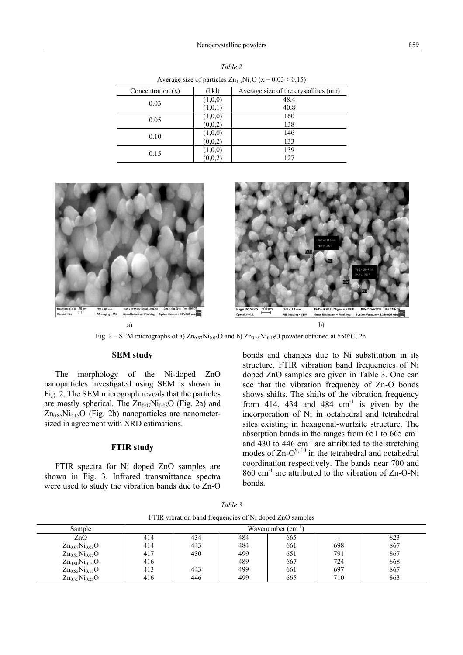| Concentration $(x)$ | (hkl)   | Average size of the crystallites (nm) |
|---------------------|---------|---------------------------------------|
|                     | (1,0,0) | 48.4                                  |
| 0.03                | (1,0,1) | 40.8                                  |
| 0.05                | (1,0,0) | 160                                   |
|                     | (0,0,2) | 138                                   |
| 0.10                | (1,0,0) | 146                                   |
|                     | (0,0,2) | 133                                   |
|                     | (1,0,0) | 139                                   |
| 0.15                | (0,0,2) | 127                                   |

*Table 2* Average size of particles  $Z_{n_1}$ , Ni.O (x = 0.03 ÷ 0.15)



Fig. 2 – SEM micrographs of a)  $Zn_{0.97}Ni_{0.03}O$  and b)  $Zn_{0.85}Ni_{0.15}O$  powder obtained at 550°C, 2h.

## **SEM study**

The morphology of the Ni-doped ZnO nanoparticles investigated using SEM is shown in Fig. 2. The SEM micrograph reveals that the particles are mostly spherical. The  $Zn_{0.97}Ni_{0.03}O$  (Fig. 2a) and  $Zn_{0.85}Ni_{0.15}O$  (Fig. 2b) nanoparticles are nanometersized in agreement with XRD estimations.

### **FTIR study**

FTIR spectra for Ni doped ZnO samples are shown in Fig. 3. Infrared transmittance spectra were used to study the vibration bands due to Zn-O bonds and changes due to Ni substitution in its structure. FTIR vibration band frequencies of Ni doped ZnO samples are given in Table 3. One can see that the vibration frequency of Zn-O bonds shows shifts. The shifts of the vibration frequency from 414, 434 and 484  $cm^{-1}$  is given by the incorporation of Ni in octahedral and tetrahedral sites existing in hexagonal-wurtzite structure. The absorption bands in the ranges from  $651$  to  $665$  cm<sup>-1</sup> and  $430$  to  $446 \text{ cm}^{-1}$  are attributed to the stretching modes of  $Zn-O^{9,10}$  in the tetrahedral and octahedral coordination respectively. The bands near 700 and  $860$  cm<sup>-1</sup> are attributed to the vibration of Zn-O-Ni bonds.

| Sample                | Wavenumber (cm <sup>-1</sup> |                          |     |     |     |     |  |
|-----------------------|------------------------------|--------------------------|-----|-----|-----|-----|--|
| ZnO                   | 414                          | 434                      | 484 | 665 |     | 823 |  |
| $Zn_{0.97}Ni_{0.03}O$ | 414                          | 443                      | 484 | 661 | 698 | 867 |  |
| $Zn_{0.95}Ni_{0.05}O$ | 417                          | 430                      | 499 | 651 | 791 | 867 |  |
| $Zn_{0.90}Ni_{0.10}O$ | 416                          | $\overline{\phantom{a}}$ | 489 | 667 | 724 | 868 |  |
| $Zn_{0.85}Ni_{0.15}O$ | 413                          | 443                      | 499 | 661 | 697 | 867 |  |
| $Zn_{0.75}Ni_{0.25}O$ | 416                          | 446                      | 499 | 665 | 710 | 863 |  |

*Table 3* FTIR vibration band frequencies of Ni doped ZnO samples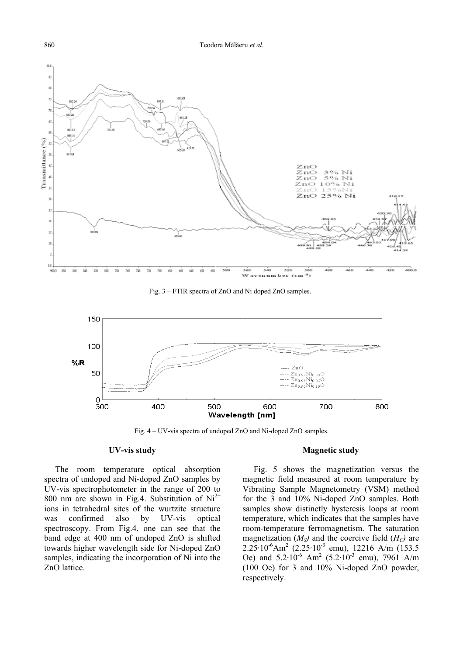

Fig. 3 – FTIR spectra of ZnO and Ni doped ZnO samples.



Fig. 4 – UV-vis spectra of undoped ZnO and Ni-doped ZnO samples.

## **UV-vis study**

 The room temperature optical absorption spectra of undoped and Ni-doped ZnO samples by UV-vis spectrophotometer in the range of 200 to 800 nm are shown in Fig.4. Substitution of  $Ni<sup>2+</sup>$ ions in tetrahedral sites of the wurtzite structure was confirmed also by UV-vis optical spectroscopy. From Fig.4, one can see that the band edge at 400 nm of undoped ZnO is shifted towards higher wavelength side for Ni-doped ZnO samples, indicating the incorporation of Ni into the ZnO lattice.

### **Magnetic study**

Fig. 5 shows the magnetization versus the magnetic field measured at room temperature by Vibrating Sample Magnetometry (VSM) method for the 3 and 10% Ni-doped ZnO samples. Both samples show distinctly hysteresis loops at room temperature, which indicates that the samples have room-temperature ferromagnetism. The saturation magnetization  $(M<sub>S</sub>)$  and the coercive field  $(H<sub>C</sub>)$  are  $2.25 \cdot 10^{-6}$ Am<sup>2</sup> (2.25 $\cdot 10^{-3}$  emu), 12216 A/m (153.5) Oe) and  $5.2 \cdot 10^{-6}$  Am<sup>2</sup> (5.2 $\cdot 10^{-3}$  emu), 7961 A/m (100 Oe) for 3 and 10% Ni-doped ZnO powder, respectively.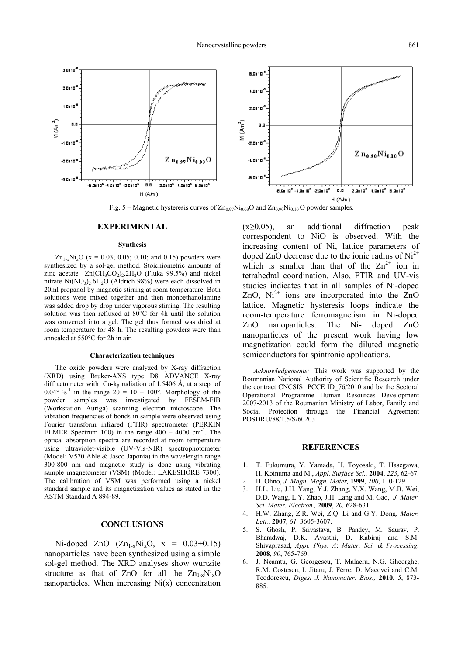

Fig. 5 – Magnetic hysteresis curves of  $Zn_{0.97}Ni_{0.03}O$  and  $Zn_{0.90}Ni_{0.10}O$  powder samples.

#### **EXPERIMENTAL**

#### **Synthesis**

 $\text{Zn}_{1-x}\text{Ni}_x\text{O}$  (x = 0.03; 0.05; 0.10; and 0.15) powders were synthesized by a sol-gel method. Stoichiometric amounts of zinc acetate  $Zn(CH_3CO_2)_2.2H_2O$  (Fluka 99.5%) and nickel nitrate  $Ni(NO<sub>3</sub>)<sub>2</sub>·6H<sub>2</sub>O$  (Aldrich 98%) were each dissolved in 20ml propanol by magnetic stirring at room temperature. Both solutions were mixed together and then monoethanolamine was added drop by drop under vigorous stirring. The resulting solution was then refluxed at 80°C for 4h until the solution was converted into a gel. The gel thus formed was dried at room temperature for 48 h. The resulting powders were than annealed at 550°C for 2h in air.

#### **Characterization techniques**

The oxide powders were analyzed by X-ray diffraction (XRD) using Bruker-AXS type D8 ADVANCE X-ray diffractometer with Cu-k<sub>B</sub> radiation of 1.5406 Å, at a step of  $0.04^\circ$  's<sup>-1</sup> in the range  $2\dot{\theta} = 10 - 100^\circ$ . Morphology of the powder samples was investigated by FESEM-FIB (Workstation Auriga) scanning electron microscope. The vibration frequencies of bonds in sample were observed using Fourier transform infrared (FTIR) spectrometer (PERKIN ELMER Spectrum 100) in the range  $400 - 4000$  cm<sup>-1</sup>. The optical absorption spectra are recorded at room temperature using ultraviolet-visible (UV-Vis-NIR) spectrophotometer (Model: V570 Able & Jasco Japonia) in the wavelength range 300-800 nm and magnetic study is done using vibrating sample magnetometer (VSM) (Model: LAKESHORE 7300). The calibration of VSM was performed using a nickel standard sample and its magnetization values as stated in the ASTM Standard A 894-89.

## **CONCLUSIONS**

Ni-doped ZnO  $(Zn_{1-x}Ni_xO, x = 0.03 \div 0.15)$ nanoparticles have been synthesized using a simple sol-gel method. The XRD analyses show wurtzite structure as that of ZnO for all the  $Zn_{1-x}Ni_xO$ nanoparticles. When increasing  $Ni(x)$  concentration  $(x\geq 0.05)$ , an additional diffraction peak correspondent to NiO is observed. With the increasing content of Ni, lattice parameters of doped ZnO decrease due to the ionic radius of  $Ni<sup>2+</sup>$ which is smaller than that of the  $Zn^{2+}$  ion in tetrahedral coordination. Also, FTIR and UV-vis studies indicates that in all samples of Ni-doped ZnO,  $Ni^{2+}$  ions are incorporated into the ZnO lattice. Magnetic hysteresis loops indicate the room-temperature ferromagnetism in Ni-doped ZnO nanoparticles. The Ni- doped ZnO nanoparticles of the present work having low magnetization could form the diluted magnetic semiconductors for spintronic applications.

*Acknowledgements:* This work was supported by the Roumanian National Authority of Scientific Research under the contract CNCSIS PCCE ID\_76/2010 and by the Sectoral Operational Programme Human Resources Development 2007-2013 of the Roumanian Ministry of Labor, Family and Social Protection through the Financial Agreement POSDRU/88/1.5/S/60203.

#### **REFERENCES**

- 1. T. Fukumura, Y. Yamada, H. Toyosaki, T. Hasegawa, H. Koinuma and M., *Appl. Surface Sci.,* **2004**, *223*, 62-67.
- 2. H. Ohno, *J. Magn. Magn. Mater,* **1999**, *200*, 110-129.
- 3. H.L. Liu, J.H. Yang, Y.J. Zhang, Y.X. Wang, M.B. Wei, D.D. Wang, L.Y. Zhao, J.H. Lang and M. Gao, *J. Mater. Sci. Mater. Electron.,* **2009**, *20,* 628-631.
- 4. H.W. Zhang, Z.R. Wei, Z.Q. Li and G.Y. Dong, *Mater. Lett.,* **2007**, *61,* 3605-3607.
- 5. S. Ghosh, P. Srivastava, B. Pandey, M. Saurav, P. Bharadwaj, D.K. Avasthi, D. Kabiraj and S.M. Shivaprasad, *Appl. Phys. A*: *Mater. Sci. & Processing,* **2008**, *90*, 765-769.
- 6. J. Neamtu, G. Georgescu, T. Malaeru, N.G. Gheorghe, R.M. Costescu, I. Jitaru, J. Férre, D. Macovei and C.M. Teodorescu, *Digest J. Nanomater. Bios.,* **2010**, *5*, 873- 885.